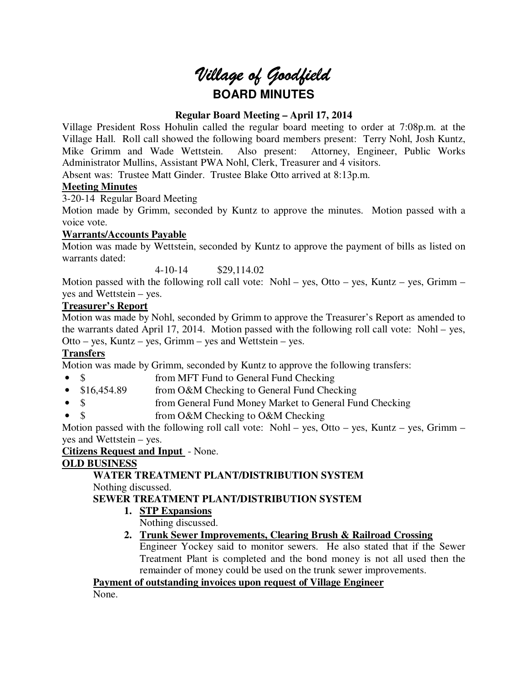# *Village of Goodfield* **BOARD MINUTES**

# **Regular Board Meeting – April 17, 2014**

Village President Ross Hohulin called the regular board meeting to order at 7:08p.m. at the Village Hall. Roll call showed the following board members present: Terry Nohl, Josh Kuntz, Mike Grimm and Wade Wettstein. Also present: Attorney, Engineer, Public Works Administrator Mullins, Assistant PWA Nohl, Clerk, Treasurer and 4 visitors.

Absent was: Trustee Matt Ginder. Trustee Blake Otto arrived at 8:13p.m.

# **Meeting Minutes**

3-20-14 Regular Board Meeting

Motion made by Grimm, seconded by Kuntz to approve the minutes. Motion passed with a voice vote.

# **Warrants/Accounts Payable**

Motion was made by Wettstein, seconded by Kuntz to approve the payment of bills as listed on warrants dated:

4-10-14 \$29,114.02

Motion passed with the following roll call vote: Nohl – yes, Otto – yes, Kuntz – yes, Grimm – yes and Wettstein – yes.

## **Treasurer's Report**

Motion was made by Nohl, seconded by Grimm to approve the Treasurer's Report as amended to the warrants dated April 17, 2014. Motion passed with the following roll call vote: Nohl – yes, Otto – yes, Kuntz – yes, Grimm – yes and Wettstein – yes.

# **Transfers**

Motion was made by Grimm, seconded by Kuntz to approve the following transfers:

- \$ from MFT Fund to General Fund Checking
- \$16,454.89 from O&M Checking to General Fund Checking
- \$ from General Fund Money Market to General Fund Checking
- \$ from O&M Checking to O&M Checking

Motion passed with the following roll call vote: Nohl – yes, Otto – yes, Kuntz – yes, Grimm – yes and Wettstein – yes.

**Citizens Request and Input** - None.

# **OLD BUSINESS**

**WATER TREATMENT PLANT/DISTRIBUTION SYSTEM**  Nothing discussed.

# **SEWER TREATMENT PLANT/DISTRIBUTION SYSTEM**

**1. STP Expansions** 

Nothing discussed.

# **2. Trunk Sewer Improvements, Clearing Brush & Railroad Crossing**

Engineer Yockey said to monitor sewers. He also stated that if the Sewer Treatment Plant is completed and the bond money is not all used then the remainder of money could be used on the trunk sewer improvements.

**Payment of outstanding invoices upon request of Village Engineer** 

None.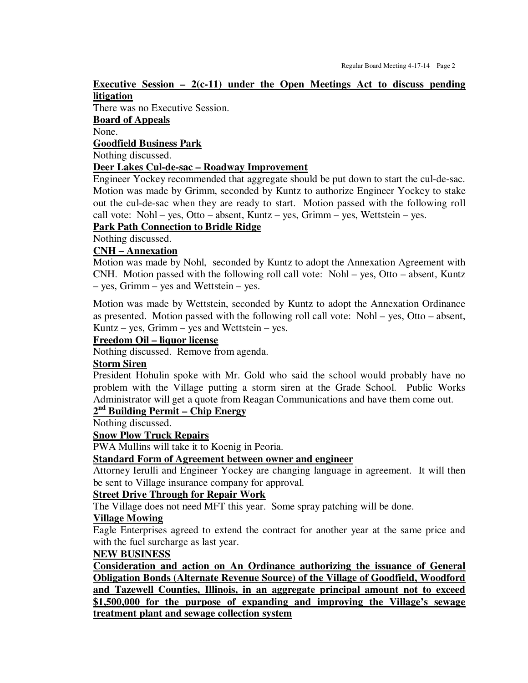#### **Executive Session – 2(c-11) under the Open Meetings Act to discuss pending litigation**

There was no Executive Session.

**Board of Appeals** 

None.

**Goodfield Business Park** 

Nothing discussed.

#### **Deer Lakes Cul-de-sac – Roadway Improvement**

Engineer Yockey recommended that aggregate should be put down to start the cul-de-sac. Motion was made by Grimm, seconded by Kuntz to authorize Engineer Yockey to stake out the cul-de-sac when they are ready to start. Motion passed with the following roll call vote: Nohl – yes, Otto – absent, Kuntz – yes, Grimm – yes, Wettstein – yes.

## **Park Path Connection to Bridle Ridge**

Nothing discussed.

#### **CNH – Annexation**

Motion was made by Nohl, seconded by Kuntz to adopt the Annexation Agreement with CNH. Motion passed with the following roll call vote: Nohl – yes, Otto – absent, Kuntz – yes, Grimm – yes and Wettstein – yes.

Motion was made by Wettstein, seconded by Kuntz to adopt the Annexation Ordinance as presented. Motion passed with the following roll call vote: Nohl – yes, Otto – absent, Kuntz – yes, Grimm – yes and Wettstein – yes.

#### **Freedom Oil – liquor license**

Nothing discussed. Remove from agenda.

#### **Storm Siren**

President Hohulin spoke with Mr. Gold who said the school would probably have no problem with the Village putting a storm siren at the Grade School. Public Works Administrator will get a quote from Reagan Communications and have them come out.

# **2 nd Building Permit – Chip Energy**

Nothing discussed.

## **Snow Plow Truck Repairs**

PWA Mullins will take it to Koenig in Peoria.

#### **Standard Form of Agreement between owner and engineer**

Attorney Ierulli and Engineer Yockey are changing language in agreement. It will then be sent to Village insurance company for approval.

## **Street Drive Through for Repair Work**

The Village does not need MFT this year. Some spray patching will be done.

#### **Village Mowing**

Eagle Enterprises agreed to extend the contract for another year at the same price and with the fuel surcharge as last year.

#### **NEW BUSINESS**

**Consideration and action on An Ordinance authorizing the issuance of General Obligation Bonds (Alternate Revenue Source) of the Village of Goodfield, Woodford and Tazewell Counties, Illinois, in an aggregate principal amount not to exceed \$1,500,000 for the purpose of expanding and improving the Village's sewage treatment plant and sewage collection system**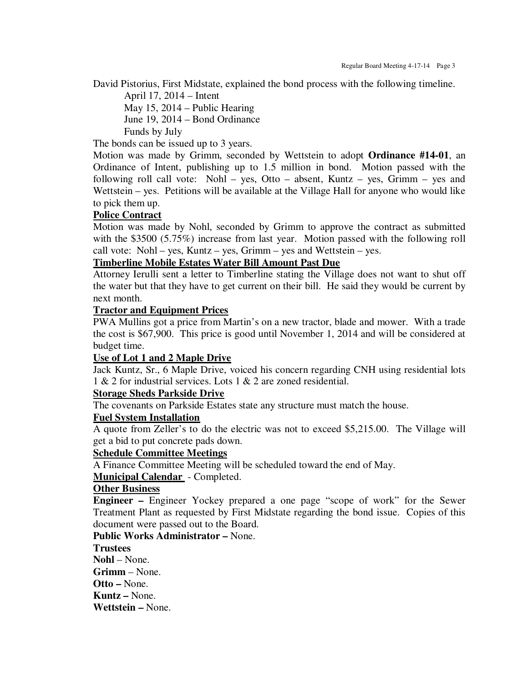David Pistorius, First Midstate, explained the bond process with the following timeline.

 April 17, 2014 – Intent May 15, 2014 – Public Hearing June 19, 2014 – Bond Ordinance Funds by July

The bonds can be issued up to 3 years.

Motion was made by Grimm, seconded by Wettstein to adopt **Ordinance #14-01**, an Ordinance of Intent, publishing up to 1.5 million in bond. Motion passed with the following roll call vote: Nohl – yes, Otto – absent, Kuntz – yes, Grimm – yes and Wettstein – yes. Petitions will be available at the Village Hall for anyone who would like to pick them up.

## **Police Contract**

Motion was made by Nohl, seconded by Grimm to approve the contract as submitted with the \$3500 (5.75%) increase from last year. Motion passed with the following roll call vote: Nohl – yes, Kuntz – yes, Grimm – yes and Wettstein – yes.

## **Timberline Mobile Estates Water Bill Amount Past Due**

Attorney Ierulli sent a letter to Timberline stating the Village does not want to shut off the water but that they have to get current on their bill. He said they would be current by next month.

## **Tractor and Equipment Prices**

PWA Mullins got a price from Martin's on a new tractor, blade and mower. With a trade the cost is \$67,900. This price is good until November 1, 2014 and will be considered at budget time.

## **Use of Lot 1 and 2 Maple Drive**

Jack Kuntz, Sr., 6 Maple Drive, voiced his concern regarding CNH using residential lots 1 & 2 for industrial services. Lots 1 & 2 are zoned residential.

## **Storage Sheds Parkside Drive**

The covenants on Parkside Estates state any structure must match the house.

## **Fuel System Installation**

A quote from Zeller's to do the electric was not to exceed \$5,215.00. The Village will get a bid to put concrete pads down.

## **Schedule Committee Meetings**

A Finance Committee Meeting will be scheduled toward the end of May.

**Municipal Calendar** - Completed.

## **Other Business**

**Engineer –** Engineer Yockey prepared a one page "scope of work" for the Sewer Treatment Plant as requested by First Midstate regarding the bond issue. Copies of this document were passed out to the Board.

**Public Works Administrator –** None.

**Trustees Nohl** – None.

**Grimm** – None. **Otto –** None.

**Kuntz –** None.

**Wettstein –** None.